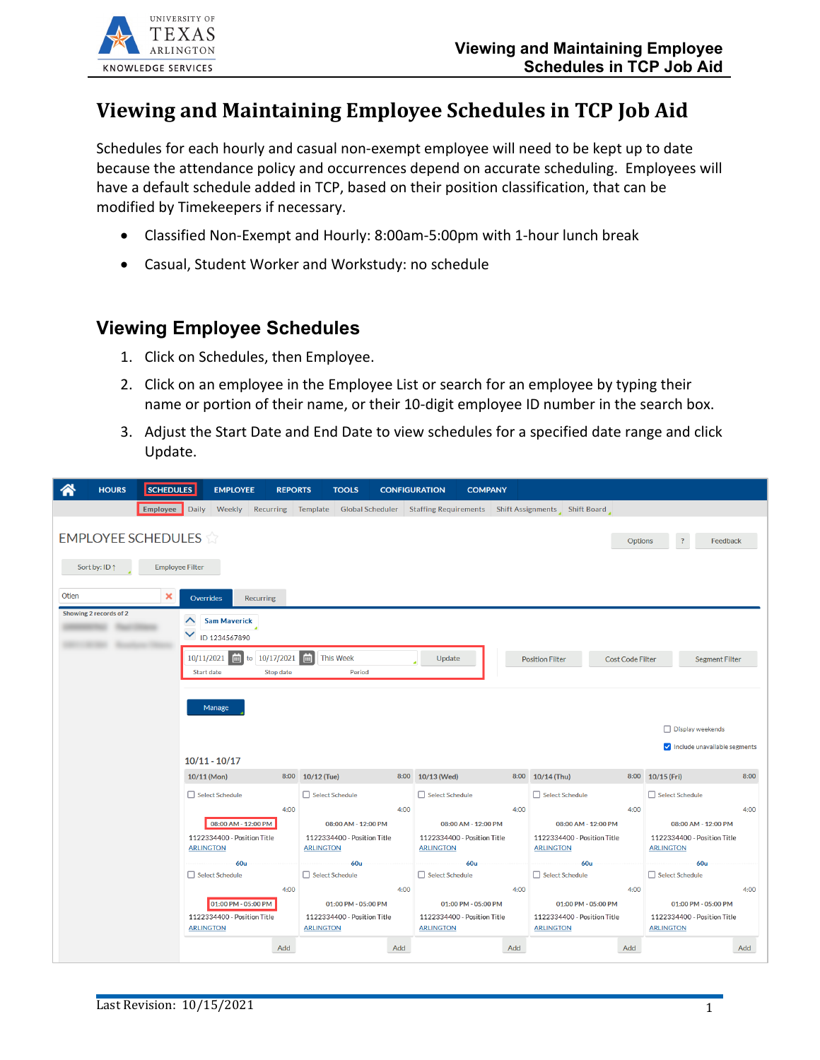# **Viewing and Maintaining Employee Schedules in TCP Job Aid**

Schedules for each hourly and casual non-exempt employee will need to be kept up to date because the attendance policy and occurrences depend on accurate scheduling. Employees will have a default schedule added in TCP, based on their position classification, that can be modified by Timekeepers if necessary.

- Classified Non-Exempt and Hourly: 8:00am-5:00pm with 1-hour lunch break
- Casual, Student Worker and Workstudy: no schedule

#### **Viewing Employee Schedules**

- 1. Click on Schedules, then Employee.
- 2. Click on an employee in the Employee List or search for an employee by typing their name or portion of their name, or their 10-digit employee ID number in the search box.
- 3. Adjust the Start Date and End Date to view schedules for a specified date range and click Update.

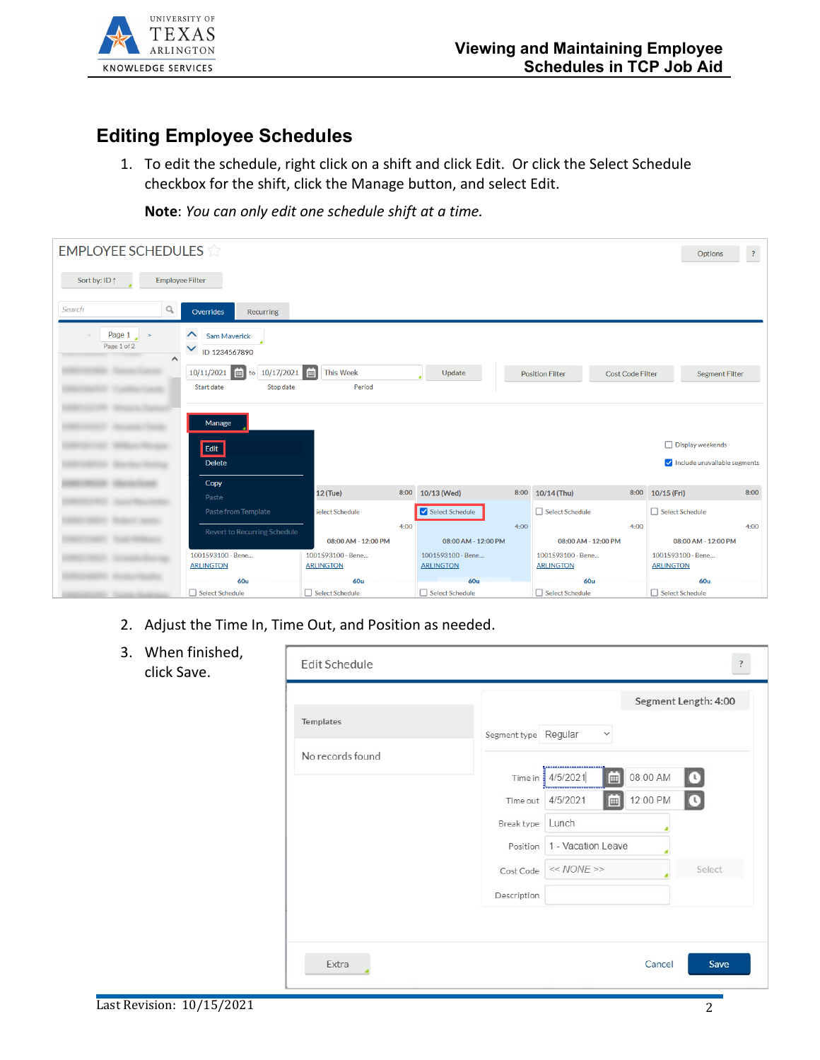

## **Editing Employee Schedules**

1. To edit the schedule, right click on a shift and click Edit. Or click the Select Schedule checkbox for the shift, click the Manage button, and select Edit.

**Note**: *You can only edit one schedule shift at a time.*

| <b>EMPLOYEE SCHEDULES</b>                       |                                                                      |                                       |      |                                       |      |                                       |                         | Options                               | $\mathbb{R}$ |
|-------------------------------------------------|----------------------------------------------------------------------|---------------------------------------|------|---------------------------------------|------|---------------------------------------|-------------------------|---------------------------------------|--------------|
| Sort by: ID 1<br><b>Employee Filter</b>         |                                                                      |                                       |      |                                       |      |                                       |                         |                                       |              |
| Search<br>q                                     | <b>Recurring</b><br>Overrides                                        |                                       |      |                                       |      |                                       |                         |                                       |              |
| Page $1 \rightarrow$<br>Page 1 of 2<br>$\wedge$ | $\hat{\phantom{1}}$<br>Sam Maverick<br>$\checkmark$<br>ID 1234567890 |                                       |      |                                       |      |                                       |                         |                                       |              |
|                                                 | to 10/17/2021   田<br>10/11/2021   田                                  | <b>This Week</b>                      |      | Update                                |      | <b>Position Filter</b>                | <b>Cost Code Filter</b> | <b>Segment Filter</b>                 |              |
|                                                 | Start date<br>Stop date                                              | Period                                |      |                                       |      |                                       |                         |                                       |              |
|                                                 | Manage                                                               |                                       |      |                                       |      |                                       |                         |                                       |              |
|                                                 | Edit                                                                 |                                       |      |                                       |      |                                       |                         | □ Display weekends                    |              |
|                                                 | <b>Delete</b>                                                        |                                       |      |                                       |      |                                       |                         | Include unavailable segments          |              |
|                                                 | Copy                                                                 | <b>12 (Tue)</b>                       | 8:00 | 10/13 (Wed)                           | 8:00 | 10/14 (Thu)                           | 8:00                    | 10/15 (Fri)                           | 8:00         |
|                                                 | Paste<br>Paste from Template                                         | <b>Select Schedule</b>                |      | Select Schedule                       |      | Select Schedule                       |                         | Select Schedule                       |              |
|                                                 |                                                                      |                                       | 4:00 |                                       | 4:00 |                                       | 4:00                    |                                       | 4:00         |
|                                                 | Revert to Recurring Schedule                                         | 08:00 AM - 12:00 PM                   |      | 08:00 AM - 12:00 PM                   |      | 08:00 AM - 12:00 PM                   |                         | 08:00 AM - 12:00 PM                   |              |
|                                                 | 1001593100 - Bene<br><b>ARLINGTON</b>                                | 1001593100 - Bene<br><b>ARLINGTON</b> |      | 1001593100 - Bene<br><b>ARLINGTON</b> |      | 1001593100 - Bene<br><b>ARLINGTON</b> |                         | 1001593100 - Bene<br><b>ARLINGTON</b> |              |
|                                                 | <b>60u</b>                                                           | <b>60u</b>                            |      | <b>60u</b>                            |      | <b>60u</b>                            |                         | <b>60u</b>                            |              |
|                                                 | Select Schedule                                                      | □ Select Schedule                     |      | Select Schedule                       |      | Select Schedule                       |                         | Select Schedule                       |              |

- 2. Adjust the Time In, Time Out, and Position as needed.
- 3. When finished, click Save.

| Templates        |                                                     |
|------------------|-----------------------------------------------------|
|                  | Segment type Regular<br>$\checkmark$                |
| No records found | ,,,,,,,,,,,,,,,,,,,,,,,,,,,                         |
|                  | 茴<br>08:00 AM<br>4/5/2021<br>$\bullet$<br>Time in ! |
|                  | 12:00 PM<br>4/5/2021<br>$\bullet$<br>E<br>Time out  |
|                  | Lunch<br>Break type                                 |
|                  | 1 - Vacation Leave<br>Position                      |
|                  | $<< NONE$ >><br>Select<br>Cost Code                 |
|                  | Description                                         |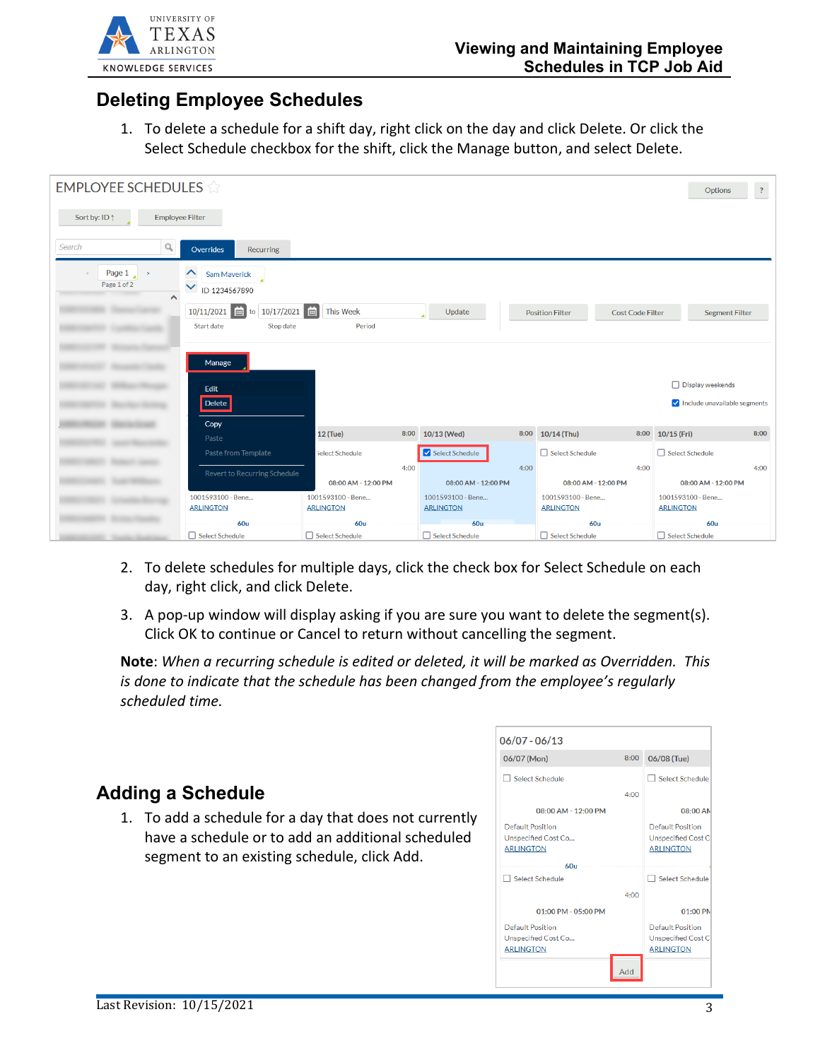

### **Deleting Employee Schedules**

1. To delete a schedule for a shift day, right click on the day and click Delete. Or click the Select Schedule checkbox for the shift, click the Manage button, and select Delete.

| <b>EMPLOYEE SCHEDULES</b>                       |                                                                      |                        |      |                     |      |                        |                         | Options                      | $\overline{?}$        |
|-------------------------------------------------|----------------------------------------------------------------------|------------------------|------|---------------------|------|------------------------|-------------------------|------------------------------|-----------------------|
| Sort by: ID 1<br><b>Employee Filter</b>         |                                                                      |                        |      |                     |      |                        |                         |                              |                       |
| Search<br>Q                                     | Overrides<br><b>Recurring</b>                                        |                        |      |                     |      |                        |                         |                              |                       |
| Page $1 \rightarrow$<br>Page 1 of 2<br>$\wedge$ | $\hat{\phantom{1}}$<br>Sam Maverick<br>$\checkmark$<br>ID 1234567890 |                        |      |                     |      |                        |                         |                              |                       |
|                                                 | to 10/17/2021<br>10/11/2021<br>E                                     | 曲<br><b>This Week</b>  |      | Update              |      | <b>Position Filter</b> | <b>Cost Code Filter</b> |                              | <b>Segment Filter</b> |
|                                                 | Start date<br>Stop date                                              | Period                 |      |                     |      |                        |                         |                              |                       |
|                                                 | Manage                                                               |                        |      |                     |      |                        |                         | □ Display weekends           |                       |
|                                                 | Edit<br>Delete                                                       |                        |      |                     |      |                        |                         | Include unavailable segments |                       |
|                                                 |                                                                      |                        |      |                     |      |                        |                         |                              |                       |
|                                                 | Copy<br>Paste                                                        | 12 (Tue)               |      | 8:00 10/13 (Wed)    | 8:00 | 10/14 (Thu)            |                         | 8:00 10/15 (Fri)             | 8:00                  |
|                                                 | Paste from Template                                                  | <b>Select Schedule</b> |      | Select Schedule     |      | Select Schedule        |                         | Select Schedule              |                       |
|                                                 | Revert to Recurring Schedule                                         | 08:00 AM - 12:00 PM    | 4:00 | 08:00 AM - 12:00 PM | 4:00 | 08:00 AM - 12:00 PM    | 4:00                    | 08:00 AM - 12:00 PM          | 4:00                  |
|                                                 | 1001593100 - Bene                                                    | 1001593100 - Bene      |      | 1001593100 - Bene   |      | 1001593100 - Bene      |                         | 1001593100 - Bene            |                       |
|                                                 | <b>ARLINGTON</b>                                                     | <b>ARLINGTON</b>       |      | <b>ARLINGTON</b>    |      | <b>ARLINGTON</b>       |                         | <b>ARLINGTON</b>             |                       |
|                                                 | <b>60u</b>                                                           | 60u                    |      | <b>60u</b>          |      | <b>60u</b>             |                         | <b>60u</b>                   |                       |
|                                                 | □ Select Schedule                                                    | Select Schedule        |      | □ Select Schedule   |      | Select Schedule        |                         | Select Schedule              |                       |

- 2. To delete schedules for multiple days, click the check box for Select Schedule on each day, right click, and click Delete.
- 3. A pop-up window will display asking if you are sure you want to delete the segment(s). Click OK to continue or Cancel to return without cancelling the segment.

**Note**: *When a recurring schedule is edited or deleted, it will be marked as Overridden. This is done to indicate that the schedule has been changed from the employee's regularly scheduled time.*

### **Adding a Schedule**

1. To add a schedule for a day that does not currently have a schedule or to add an additional scheduled segment to an existing schedule, click Add.

| $06/07 - 06/13$                                                    |      |                                                            |
|--------------------------------------------------------------------|------|------------------------------------------------------------|
| 06/07 (Mon)                                                        | 8:00 | 06/08 (Tue)                                                |
| Select Schedule                                                    |      | Select Schedule                                            |
|                                                                    | 4:00 |                                                            |
| 08:00 AM - 12:00 PM                                                |      | 08:00 AN                                                   |
| Default Position<br><b>Unspecified Cost Co</b><br><b>ARLINGTON</b> |      | Default Position<br>Unspecified Cost C<br><b>ARLINGTON</b> |
| 60u<br>Select Schedule                                             |      | Select Schedule                                            |
|                                                                    | 4:00 |                                                            |
| $01:00$ PM - $05:00$ PM                                            |      | 01:00 PM                                                   |
| Default Position                                                   |      | <b>Default Position</b>                                    |
| <b>Unspecified Cost Co</b>                                         |      | <b>Unspecified Cost Co</b>                                 |
| <b>ARLINGTON</b>                                                   |      | <b>ARLINGTON</b>                                           |
|                                                                    | Add  |                                                            |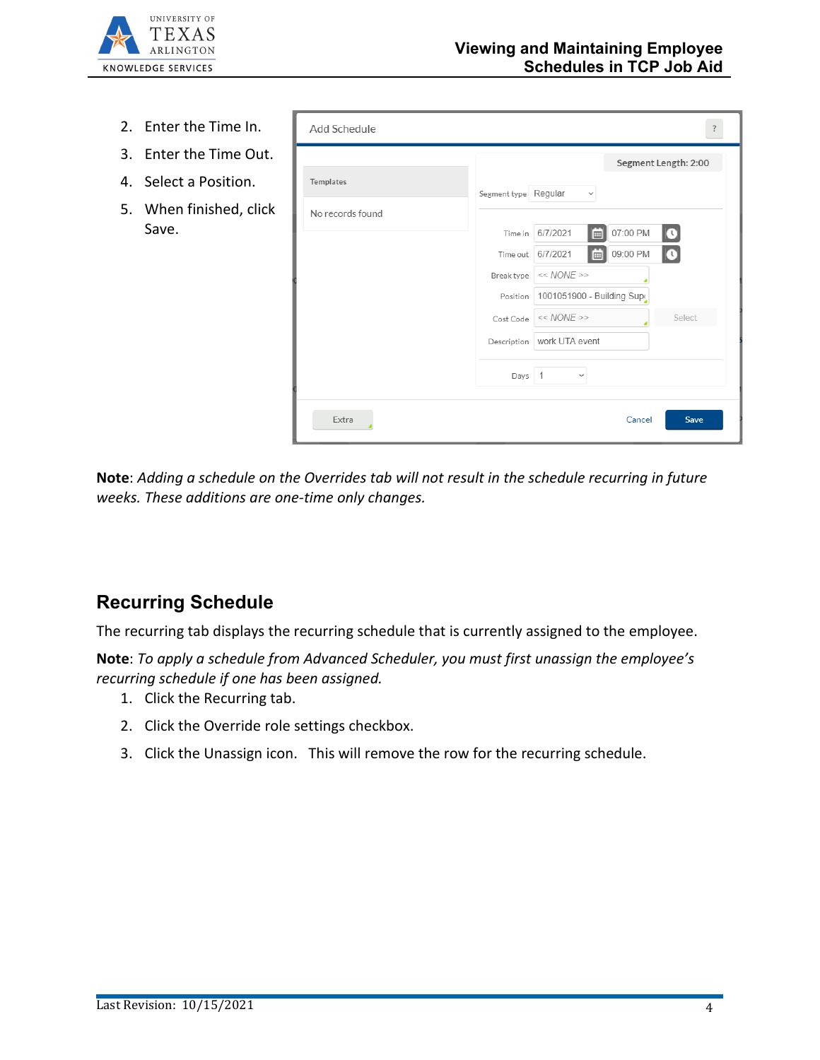

- 2. Enter the Time In.
- 3. Enter the Time Out.
- 4. Select a Position.
- 5. When finished, click Save.

| Templates        | Segment type Regular<br>$\checkmark$                |
|------------------|-----------------------------------------------------|
| No records found |                                                     |
|                  | 07:00 PM<br>6/7/2021<br>$\mathbf Q$<br>Time in<br>⊪ |
|                  | 09:00 PM<br>6/7/2021<br>$\bf{Q}$<br>E<br>Time out   |
|                  | $<< NONE$ >><br>Break type                          |
|                  | 1001051900 - Building Supe<br>Position              |
|                  | $<< NONE$ >><br>Select<br>Cost Code                 |
|                  | work UTA event<br>Description                       |
|                  | $\overline{1}$<br>Days<br>$\checkmark$              |

**Note**: *Adding a schedule on the Overrides tab will not result in the schedule recurring in future weeks. These additions are one-time only changes.*

### **Recurring Schedule**

The recurring tab displays the recurring schedule that is currently assigned to the employee.

**Note**: *To apply a schedule from Advanced Scheduler, you must first unassign the employee's recurring schedule if one has been assigned.*

- 1. Click the Recurring tab.
- 2. Click the Override role settings checkbox.
- 3. Click the Unassign icon. This will remove the row for the recurring schedule.